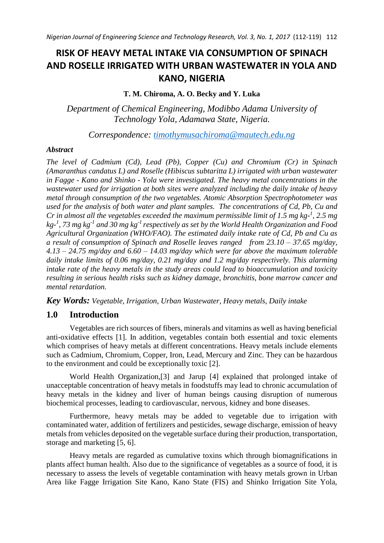# **RISK OF HEAVY METAL INTAKE VIA CONSUMPTION OF SPINACH AND ROSELLE IRRIGATED WITH URBAN WASTEWATER IN YOLA AND KANO, NIGERIA**

# **T. M. Chiroma, A. O. Becky and Y. Luka**

*Department of Chemical Engineering, Modibbo Adama University of Technology Yola, Adamawa State, Nigeria.*

*Correspondence: [timothymusachiroma@mautech.edu.ng](mailto:timothymusachiroma@mautech.edu.ng)*

#### *Abstract*

*The level of Cadmium (Cd), Lead (Pb), Copper (Cu) and Chromium (Cr) in Spinach (Amaranthus candatus L) and Roselle (Hibiscus subtaritta L) irrigated with urban wastewater in Fagge - Kano and Shinko - Yola were investigated. The heavy metal concentrations in the wastewater used for irrigation at both sites were analyzed including the daily intake of heavy metal through consumption of the two vegetables. Atomic Absorption Spectrophotometer was used for the analysis of both water and plant samples. The concentrations of Cd, Pb, Cu and Cr* in almost all the vegetables exceeded the maximum permissible limit of 1.5 mg kg<sup>-1</sup>, 2.5 mg *kg-1 , 73 mg kg-1 and 30 mg kg-1 respectively as set by the World Health Organization and Food Agricultural Organization (WHO/FAO). The estimated daily intake rate of Cd, Pb and Cu as a result of consumption of Spinach and Roselle leaves ranged from 23.10 – 37.65 mg/day, 4.13 – 24.75 mg/day and 6.60 – 14.03 mg/day which were far above the maximum tolerable daily intake limits of 0.06 mg/day, 0.21 mg/day and 1.2 mg/day respectively. This alarming intake rate of the heavy metals in the study areas could lead to bioaccumulation and toxicity resulting in serious health risks such as kidney damage, bronchitis, bone marrow cancer and mental retardation.*

*Key Words: Vegetable, Irrigation, Urban Wastewater, Heavy metals, Daily intake*

# **1.0 Introduction**

Vegetables are rich sources of fibers, minerals and vitamins as well as having beneficial anti-oxidative effects [1]. In addition, vegetables contain both essential and toxic elements which comprises of heavy metals at different concentrations. Heavy metals include elements such as Cadmium, Chromium, Copper, Iron, Lead, Mercury and Zinc. They can be hazardous to the environment and could be exceptionally toxic [2].

World Health Organization,[3] and Jarup [4] explained that prolonged intake of unacceptable concentration of heavy metals in foodstuffs may lead to chronic accumulation of heavy metals in the kidney and liver of human beings causing disruption of numerous biochemical processes, leading to cardiovascular, nervous, kidney and bone diseases.

Furthermore, heavy metals may be added to vegetable due to irrigation with contaminated water, addition of fertilizers and pesticides, sewage discharge, emission of heavy metals from vehicles deposited on the vegetable surface during their production, transportation, storage and marketing [5, 6].

Heavy metals are regarded as cumulative toxins which through biomagnifications in plants affect human health. Also due to the significance of vegetables as a source of food, it is necessary to assess the levels of vegetable contamination with heavy metals grown in Urban Area like Fagge Irrigation Site Kano, Kano State (FIS) and Shinko Irrigation Site Yola,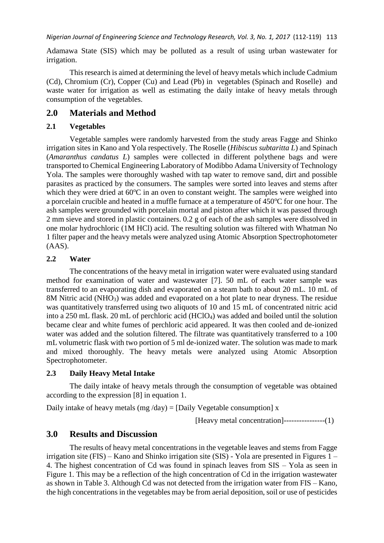Adamawa State (SIS) which may be polluted as a result of using urban wastewater for irrigation.

This research is aimed at determining the level of heavy metals which include Cadmium (Cd), Chromium (Cr), Copper (Cu) and Lead (Pb) in vegetables (Spinach and Roselle) and waste water for irrigation as well as estimating the daily intake of heavy metals through consumption of the vegetables.

# **2.0 Materials and Method**

#### **2.1 Vegetables**

Vegetable samples were randomly harvested from the study areas Fagge and Shinko irrigation sites in Kano and Yola respectively. The Roselle (*Hibiscus subtaritta L*) and Spinach (*Amaranthus candatus L*) samples were collected in different polythene bags and were transported to Chemical Engineering Laboratory of Modibbo Adama University of Technology Yola. The samples were thoroughly washed with tap water to remove sand, dirt and possible parasites as practiced by the consumers. The samples were sorted into leaves and stems after which they were dried at  $60^{\circ}$ C in an oven to constant weight. The samples were weighed into a porcelain crucible and heated in a muffle furnace at a temperature of  $450^{\circ}$ C for one hour. The ash samples were grounded with porcelain mortal and piston after which it was passed through 2 mm sieve and stored in plastic containers. 0.2 g of each of the ash samples were dissolved in one molar hydrochloric (1M HCl) acid. The resulting solution was filtered with Whatman No 1 filter paper and the heavy metals were analyzed using Atomic Absorption Spectrophotometer (AAS).

#### **2.2 Water**

The concentrations of the heavy metal in irrigation water were evaluated using standard method for examination of water and wastewater [7]. 50 mL of each water sample was transferred to an evaporating dish and evaporated on a steam bath to about 20 mL. 10 mL of 8M Nitric acid (NHO<sub>3</sub>) was added and evaporated on a hot plate to near dryness. The residue was quantitatively transferred using two aliquots of 10 and 15 mL of concentrated nitric acid into a 250 mL flask. 20 mL of perchloric acid (HClO4) was added and boiled until the solution became clear and white fumes of perchloric acid appeared. It was then cooled and de-ionized water was added and the solution filtered. The filtrate was quantitatively transferred to a 100 mL volumetric flask with two portion of 5 ml de-ionized water. The solution was made to mark and mixed thoroughly. The heavy metals were analyzed using Atomic Absorption Spectrophotometer.

#### **2.3 Daily Heavy Metal Intake**

The daily intake of heavy metals through the consumption of vegetable was obtained according to the expression [8] in equation 1.

Daily intake of heavy metals (mg /day) = [Daily Vegetable consumption]  $x$ 

[Heavy metal concentration]----------------(1)

# **3.0 Results and Discussion**

The results of heavy metal concentrations in the vegetable leaves and stems from Fagge irrigation site (FIS) – Kano and Shinko irrigation site (SIS) - Yola are presented in Figures 1 – 4. The highest concentration of Cd was found in spinach leaves from SIS – Yola as seen in Figure 1. This may be a reflection of the high concentration of Cd in the irrigation wastewater as shown in Table 3. Although Cd was not detected from the irrigation water from FIS – Kano, the high concentrations in the vegetables may be from aerial deposition, soil or use of pesticides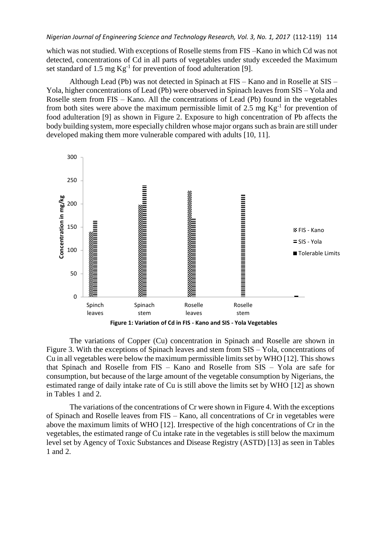which was not studied. With exceptions of Roselle stems from FIS –Kano in which Cd was not detected, concentrations of Cd in all parts of vegetables under study exceeded the Maximum set standard of 1.5 mg  $Kg^{-1}$  for prevention of food adulteration [9].

Although Lead (Pb) was not detected in Spinach at FIS – Kano and in Roselle at SIS – Yola, higher concentrations of Lead (Pb) were observed in Spinach leaves from SIS – Yola and Roselle stem from FIS – Kano. All the concentrations of Lead (Pb) found in the vegetables from both sites were above the maximum permissible limit of 2.5 mg  $Kg^{-1}$  for prevention of food adulteration [9] as shown in Figure 2. Exposure to high concentration of Pb affects the body building system, more especially children whose major organs such as brain are still under developed making them more vulnerable compared with adults [10, 11].



The variations of Copper (Cu) concentration in Spinach and Roselle are shown in Figure 3. With the exceptions of Spinach leaves and stem from SIS – Yola, concentrations of Cu in all vegetables were below the maximum permissible limits set by WHO [12]. Thisshows that Spinach and Roselle from FIS – Kano and Roselle from SIS – Yola are safe for consumption, but because of the large amount of the vegetable consumption by Nigerians, the estimated range of daily intake rate of Cu is still above the limits set by WHO [12] as shown in Tables 1 and 2.

The variations of the concentrations of Cr were shown in Figure 4. With the exceptions of Spinach and Roselle leaves from FIS – Kano, all concentrations of Cr in vegetables were above the maximum limits of WHO [12]. Irrespective of the high concentrations of Cr in the vegetables, the estimated range of Cu intake rate in the vegetables is still below the maximum level set by Agency of Toxic Substances and Disease Registry (ASTD) [13] as seen in Tables 1 and 2.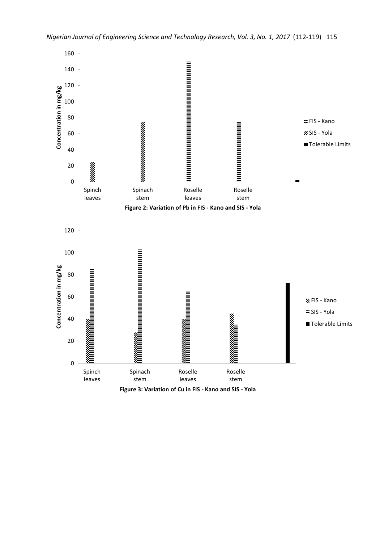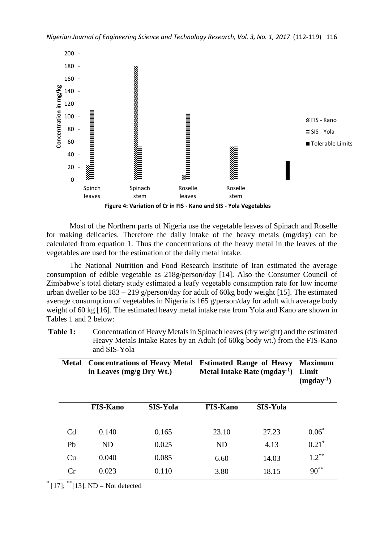

Most of the Northern parts of Nigeria use the vegetable leaves of Spinach and Roselle for making delicacies. Therefore the daily intake of the heavy metals (mg/day) can be calculated from equation 1. Thus the concentrations of the heavy metal in the leaves of the vegetables are used for the estimation of the daily metal intake.

The National Nutrition and Food Research Institute of Iran estimated the average consumption of edible vegetable as 218g/person/day [14]. Also the Consumer Council of Zimbabwe's total dietary study estimated a leafy vegetable consumption rate for low income urban dweller to be 183 – 219 g/person/day for adult of 60kg body weight [15]. The estimated average consumption of vegetables in Nigeria is 165 g/person/day for adult with average body weight of 60 kg [16]. The estimated heavy metal intake rate from Yola and Kano are shown in Tables 1 and 2 below:

**Table 1:** Concentration of Heavy Metals in Spinach leaves (dry weight) and the estimated Heavy Metals Intake Rates by an Adult (of 60kg body wt.) from the FIS-Kano and SIS-Yola

| <b>Metal</b>   | <b>Concentrations of Heavy Metal</b><br>in Leaves (mg/g Dry Wt.) |                 | <b>Estimated Range of Heavy</b><br>Metal Intake Rate $(mgday^{-1})$ |                 | <b>Maximum</b><br>Limit<br>$(mgday^{-1})$ |  |
|----------------|------------------------------------------------------------------|-----------------|---------------------------------------------------------------------|-----------------|-------------------------------------------|--|
|                | <b>FIS-Kano</b>                                                  | <b>SIS-Yola</b> | <b>FIS-Kano</b>                                                     | <b>SIS-Yola</b> |                                           |  |
| C <sub>d</sub> | 0.140                                                            | 0.165           | 23.10                                                               | 27.23           | $0.06*$                                   |  |
| Pb             | <b>ND</b>                                                        | 0.025           | <b>ND</b>                                                           | 4.13            | $0.21$ <sup>*</sup>                       |  |
| Cu             | 0.040                                                            | 0.085           | 6.60                                                                | 14.03           | $1.2***$                                  |  |
| Cr             | 0.023                                                            | 0.110           | 3.80                                                                | 18.15           | $90^{**}$                                 |  |

 $*$  [17];  $*$ <sup>\*</sup>[13]. ND = Not detected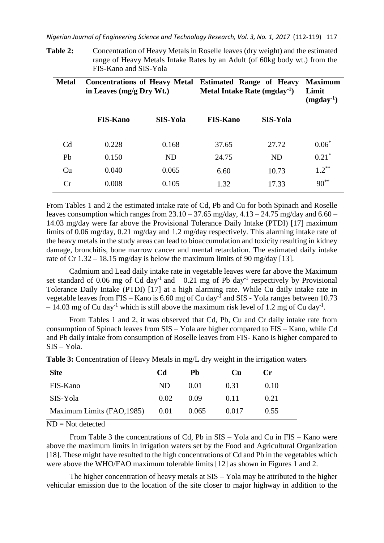**Table 2:** Concentration of Heavy Metals in Roselle leaves (dry weight) and the estimated range of Heavy Metals Intake Rates by an Adult (of 60kg body wt.) from the FIS-Kano and SIS-Yola

| <b>Metal</b>   | <b>Concentrations of Heavy Metal</b><br>in Leaves (mg/g Dry Wt.) |                 | <b>Estimated Range of Heavy</b><br>Metal Intake Rate $(mgday^{-1})$ |                 | <b>Maximum</b><br>Limit<br>$(mgday^{-1})$ |  |
|----------------|------------------------------------------------------------------|-----------------|---------------------------------------------------------------------|-----------------|-------------------------------------------|--|
|                | <b>FIS-Kano</b>                                                  | <b>SIS-Yola</b> | <b>FIS-Kano</b>                                                     | <b>SIS-Yola</b> |                                           |  |
| C <sub>d</sub> | 0.228                                                            | 0.168           | 37.65                                                               | 27.72           | $0.06*$                                   |  |
| Pb             | 0.150                                                            | <b>ND</b>       | 24.75                                                               | <b>ND</b>       | $0.21*$                                   |  |
| Cu             | 0.040                                                            | 0.065           | 6.60                                                                | 10.73           | $1.2***$                                  |  |
| Cr             | 0.008                                                            | 0.105           | 1.32                                                                | 17.33           | $90^{**}$                                 |  |

From Tables 1 and 2 the estimated intake rate of Cd, Pb and Cu for both Spinach and Roselle leaves consumption which ranges from  $23.10 - 37.65$  mg/day,  $4.13 - 24.75$  mg/day and  $6.60 -$ 14.03 mg/day were far above the Provisional Tolerance Daily Intake (PTDI) [17] maximum limits of 0.06 mg/day, 0.21 mg/day and 1.2 mg/day respectively. This alarming intake rate of the heavy metals in the study areas can lead to bioaccumulation and toxicity resulting in kidney damage, bronchitis, bone marrow cancer and mental retardation. The estimated daily intake rate of Cr  $1.32 - 18.15$  mg/day is below the maximum limits of 90 mg/day [13].

Cadmium and Lead daily intake rate in vegetable leaves were far above the Maximum set standard of 0.06 mg of Cd day<sup>-1</sup> and 0.21 mg of Pb day<sup>-1</sup> respectively by Provisional Tolerance Daily Intake (PTDI) [17] at a high alarming rate. While Cu daily intake rate in vegetable leaves from FIS – Kano is 6.60 mg of Cu day<sup>-1</sup> and SIS - Yola ranges between 10.73  $-14.03$  mg of Cu day<sup>-1</sup> which is still above the maximum risk level of 1.2 mg of Cu day<sup>-1</sup>.

From Tables 1 and 2, it was observed that Cd, Pb, Cu and Cr daily intake rate from consumption of Spinach leaves from SIS – Yola are higher compared to FIS – Kano, while Cd and Pb daily intake from consumption of Roselle leaves from FIS- Kano is higher compared to SIS – Yola.

| <b>Site</b>                     | <b>Cd</b> | Pb    | Cп    | $\mathbf{C}\mathbf{r}$ |  |
|---------------------------------|-----------|-------|-------|------------------------|--|
| FIS-Kano                        | ND.       | 0.01  | 0.31  | 0.10                   |  |
| SIS-Yola                        | 0.02      | 0.09  | 0.11  | 0.21                   |  |
| Maximum Limits (FAO, 1985) 0.01 |           | 0.065 | 0.017 | 0.55                   |  |

**Table 3:** Concentration of Heavy Metals in mg/L dry weight in the irrigation waters

ND = Not detected

From Table 3 the concentrations of Cd, Pb in SIS – Yola and Cu in FIS – Kano were above the maximum limits in irrigation waters set by the Food and Agricultural Organization [18]. These might have resulted to the high concentrations of Cd and Pb in the vegetables which were above the WHO/FAO maximum tolerable limits [12] as shown in Figures 1 and 2.

The higher concentration of heavy metals at SIS – Yola may be attributed to the higher vehicular emission due to the location of the site closer to major highway in addition to the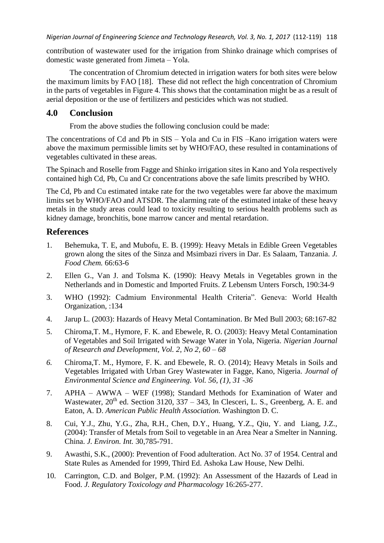contribution of wastewater used for the irrigation from Shinko drainage which comprises of domestic waste generated from Jimeta – Yola.

The concentration of Chromium detected in irrigation waters for both sites were below the maximum limits by FAO [18]. These did not reflect the high concentration of Chromium in the parts of vegetables in Figure 4. This shows that the contamination might be as a result of aerial deposition or the use of fertilizers and pesticides which was not studied.

# **4.0 Conclusion**

From the above studies the following conclusion could be made:

The concentrations of Cd and Pb in SIS – Yola and Cu in FIS –Kano irrigation waters were above the maximum permissible limits set by WHO/FAO, these resulted in contaminations of vegetables cultivated in these areas.

The Spinach and Roselle from Fagge and Shinko irrigation sites in Kano and Yola respectively contained high Cd, Pb, Cu and Cr concentrations above the safe limits prescribed by WHO.

The Cd, Pb and Cu estimated intake rate for the two vegetables were far above the maximum limits set by WHO/FAO and ATSDR. The alarming rate of the estimated intake of these heavy metals in the study areas could lead to toxicity resulting to serious health problems such as kidney damage, bronchitis, bone marrow cancer and mental retardation.

### **References**

- 1. Behemuka, T. E, and Mubofu, E. B. (1999): Heavy Metals in Edible Green Vegetables grown along the sites of the Sinza and Msimbazi rivers in Dar. Es Salaam, Tanzania. *J. Food Chem.* 66:63-6
- 2. Ellen G., Van J. and Tolsma K. (1990): Heavy Metals in Vegetables grown in the Netherlands and in Domestic and Imported Fruits. Z Lebensm Unters Forsch, 190:34-9
- 3. WHO (1992): Cadmium Environmental Health Criteria". Geneva: World Health Organization, :134
- 4. Jarup L. (2003): Hazards of Heavy Metal Contamination. Br Med Bull 2003; 68:167-82
- 5. Chiroma,T. M., Hymore, F. K. and Ebewele, R. O. (2003): Heavy Metal Contamination of Vegetables and Soil Irrigated with Sewage Water in Yola, Nigeria. *Nigerian Journal of Research and Development, Vol. 2, No 2, 60 – 68*
- *6.* Chiroma,T. M., Hymore, F. K. and Ebewele, R. O. (2014); Heavy Metals in Soils and Vegetables Irrigated with Urban Grey Wastewater in Fagge, Kano, Nigeria. *Journal of Environmental Science and Engineering. Vol. 56, (1), 31 -36*
- 7. APHA AWWA WEF (1998); Standard Methods for Examination of Water and Wastewater,  $20<sup>th</sup>$  ed. Section 3120, 337 – 343, In Clesceri, L. S., Greenberg, A. E. and Eaton, A. D. *American Public Health Association.* Washington D. C.
- 8. Cui, Y.J., Zhu, Y.G., Zha, R.H., Chen, D.Y., Huang, Y.Z., Qiu, Y. and Liang, J.Z., (2004): Transfer of Metals from Soil to vegetable in an Area Near a Smelter in Nanning. China. *J. Environ. Int.* 30,785-791.
- 9. Awasthi, S.K., (2000): Prevention of Food adulteration. Act No. 37 of 1954. Central and State Rules as Amended for 1999, Third Ed. Ashoka Law House, New Delhi.
- 10. Carrington, C.D. and Bolger, P.M. (1992): An Assessment of the Hazards of Lead in Food. *J. Regulatory Toxicology and Pharmacology* 16:265-277.